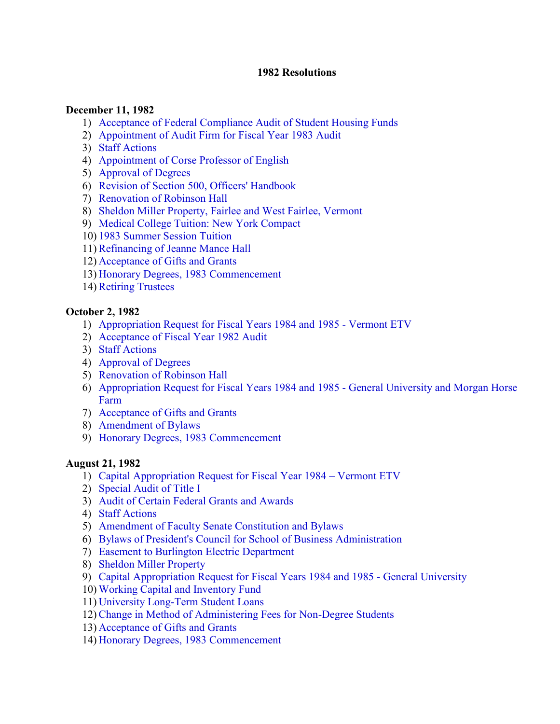#### **1982 Resolutions**

#### **December 11, 1982**

- 1) [Acceptance of Federal Compliance Audit of Student Housing Funds](#page-2-0)
- 2) [Appointment of Audit Firm for Fiscal Year 1983 Audit](#page-2-0)
- 3) [Staff Actions](#page-2-0)
- 4) [Appointment of Corse Professor of English](#page-2-0)
- 5) [Approval of Degrees](#page-3-0)
- 6) [Revision of Section 500, Officers' Handbook](#page-3-0)
- 7) [Renovation of Robinson Hall](#page-3-0)
- 8) [Sheldon Miller Property, Fairlee and West Fairlee, Vermont](#page-3-0)
- 9) [Medical College Tuition: New York Compact](#page-3-0)
- 10) [1983 Summer Session Tuition](#page-4-0)
- 11)[Refinancing of Jeanne Mance Hall](#page-4-0)
- 12) [Acceptance of Gifts and Grants](#page-4-0)
- 13) [Honorary Degrees, 1983 Commencement](#page-4-0)
- 14) [Retiring Trustees](#page-4-0)

#### **October 2, 1982**

- 1) [Appropriation Request for Fiscal Years 1984 and 1985 Vermont ETV](#page-6-0)
- 2) [Acceptance of Fiscal Year 1982 Audit](#page-6-0)
- 3) [Staff Actions](#page-6-0)
- 4) [Approval of Degrees](#page-6-0)
- 5) [Renovation of Robinson Hall](#page-7-0)
- 6) [Appropriation Request for Fiscal Years 1984 and 1985 General University and Morgan Horse](#page-7-0) Farm
- 7) [Acceptance of Gifts and Grants](#page-7-0)
- 8) [Amendment of Bylaws](#page-7-0)
- 9) [Honorary Degrees, 1983 Commencement](#page-8-0)

#### **August 21, 1982**

- 1) [Capital Appropriation Request for Fiscal Year 1984 Vermont ETV](#page-9-0)
- 2) [Special Audit of Title I](#page-9-0)
- 3) [Audit of Certain Federal Grants and Awards](#page-9-0)
- 4) [Staff Actions](#page-10-0)
- 5) [Amendment of Faculty Senate Constitution and Bylaws](#page-10-0)
- 6) [Bylaws of President's Council for School of Business Administration](#page-10-0)
- 7) [Easement to Burlington Electric Department](#page-10-0)
- 8) [Sheldon Miller Property](#page-11-0)
- 9) [Capital Appropriation Request for Fiscal Years 1984 and 1985 General University](#page-11-0)
- 10) [Working Capital and Inventory Fund](#page-12-0)
- 11) [University Long-Term Student Loans](#page-12-0)
- 12)[Change in Method of Administering Fees for Non-Degree Students](#page-13-0)
- 13) [Acceptance of Gifts and Grants](#page-13-0)
- 14) [Honorary Degrees, 1983 Commencement](#page-13-0)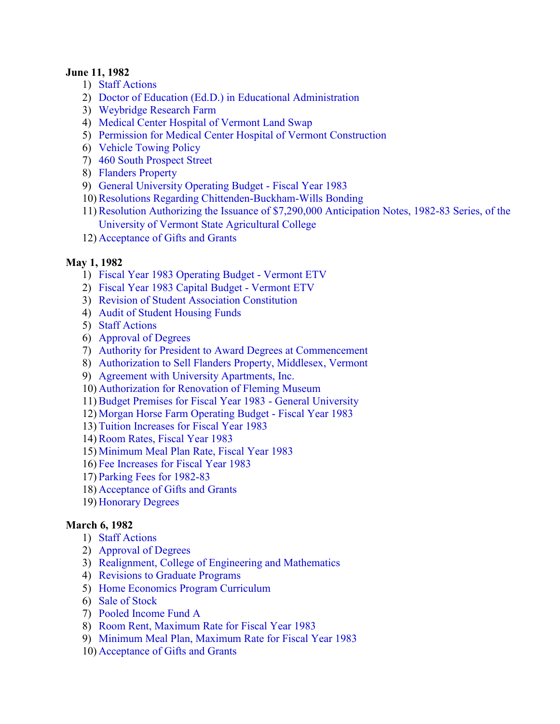#### **June 11, 1982**

- 1) [Staff Actions](#page-14-0)
- 2) [Doctor of Education \(Ed.D.\) in Educational Administration](#page-14-0)
- 3) [Weybridge Research Farm](#page-14-0)
- 4) [Medical Center Hospital of Vermont Land Swap](#page-14-0)
- 5) [Permission for Medical Center Hospital of Vermont Construction](#page-15-0)
- 6) [Vehicle Towing Policy](#page-15-0)
- 7) [460 South Prospect Street](#page-15-0)
- 8) [Flanders Property](#page-15-0)
- 9) [General University Operating Budget Fiscal Year 1983](#page-16-0)
- 10)[Resolutions Regarding Chittenden-Buckham-Wills Bonding](#page-16-0)
- 11)[Resolution Authorizing the Issuance of \\$7,290,000 Anticipation Notes, 1982-83 Series, of the](#page-16-0)  University of Vermont State Agricultural College
- 12) [Acceptance of Gifts and Grants](#page-16-0)

#### **May 1, 1982**

- 1) [Fiscal Year 1983 Operating Budget Vermont ETV](#page-17-0)
- 2) [Fiscal Year 1983 Capital Budget Vermont ETV](#page-17-0)
- 3) [Revision of Student Association Constitution](#page-17-0)
- 4) [Audit of Student Housing Funds](#page-17-0)
- 5) [Staff Actions](#page-18-0)
- 6) [Approval of Degrees](#page-18-0)
- 7) [Authority for President to Award Degrees at Commencement](#page-18-0)
- 8) [Authorization to Sell Flanders Property, Middlesex, Vermont](#page-18-0)
- 9) [Agreement with University Apartments, Inc.](#page-19-0)
- 10) [Authorization for Renovation of Fleming Museum](#page-19-0)
- 11)[Budget Premises for Fiscal Year 1983 General University](#page-19-0)
- 12) [Morgan Horse Farm Operating Budget Fiscal Year 1983](#page-19-0)
- 13) [Tuition Increases for Fiscal Year 1983](#page-19-0)
- 14)[Room Rates, Fiscal Year 1983](#page-20-0)
- 15) [Minimum Meal Plan Rate, Fiscal Year 1983](#page-20-0)
- 16) [Fee Increases for Fiscal Year 1983](#page-20-0)
- 17) [Parking Fees for 1982-83](#page-20-0)
- 18) [Acceptance of Gifts and Grants](#page-21-0)
- 19) [Honorary Degrees](#page-21-0)

#### **March 6, 1982**

- 1) [Staff Actions](#page-22-0)
- 2) [Approval of Degree](#page-22-0)s
- 3) [Realignment, College of Engineering and Mathematics](#page-22-0)
- 4) [Revisions to Graduate Programs](#page-22-0)
- 5) [Home Economics Program Curriculum](#page-22-0)
- 6) [Sale of Stock](#page-22-0)
- 7) [Pooled Income Fund A](#page-23-0)
- 8) [Room Rent, Maximum Rate for Fiscal Year 1983](#page-23-0)
- 9) [Minimum Meal Plan, Maximum Rate for Fiscal Year 1983](#page-24-0)
- 10) [Acceptance of Gifts and Grants](#page-24-0)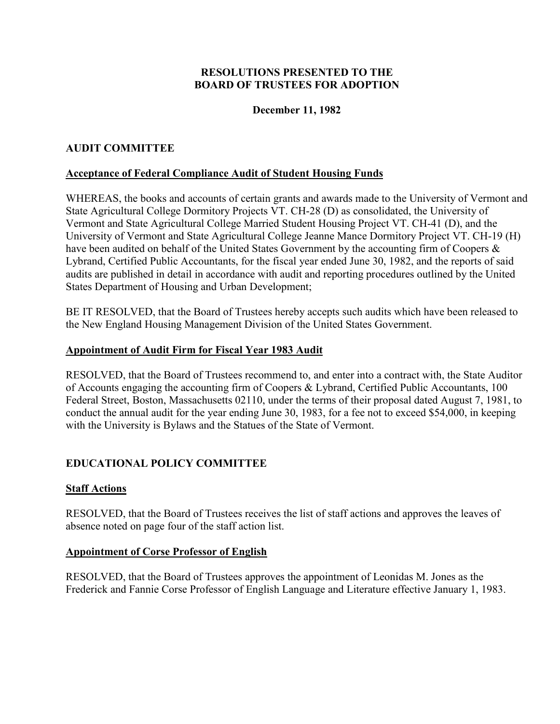# **December 11, 1982**

# <span id="page-2-0"></span>**AUDIT COMMITTEE**

### **Acceptance of Federal Compliance Audit of Student Housing Funds**

WHEREAS, the books and accounts of certain grants and awards made to the University of Vermont and State Agricultural College Dormitory Projects VT. CH-28 (D) as consolidated, the University of Vermont and State Agricultural College Married Student Housing Project VT. CH-41 (D), and the University of Vermont and State Agricultural College Jeanne Mance Dormitory Project VT. CH-19 (H) have been audited on behalf of the United States Government by the accounting firm of Coopers  $\&$ Lybrand, Certified Public Accountants, for the fiscal year ended June 30, 1982, and the reports of said audits are published in detail in accordance with audit and reporting procedures outlined by the United States Department of Housing and Urban Development;

BE IT RESOLVED, that the Board of Trustees hereby accepts such audits which have been released to the New England Housing Management Division of the United States Government.

#### **Appointment of Audit Firm for Fiscal Year 1983 Audit**

RESOLVED, that the Board of Trustees recommend to, and enter into a contract with, the State Auditor of Accounts engaging the accounting firm of Coopers & Lybrand, Certified Public Accountants, 100 Federal Street, Boston, Massachusetts 02110, under the terms of their proposal dated August 7, 1981, to conduct the annual audit for the year ending June 30, 1983, for a fee not to exceed \$54,000, in keeping with the University is Bylaws and the Statues of the State of Vermont.

# **EDUCATIONAL POLICY COMMITTEE**

#### **Staff Actions**

RESOLVED, that the Board of Trustees receives the list of staff actions and approves the leaves of absence noted on page four of the staff action list.

#### **Appointment of Corse Professor of English**

RESOLVED, that the Board of Trustees approves the appointment of Leonidas M. Jones as the Frederick and Fannie Corse Professor of English Language and Literature effective January 1, 1983.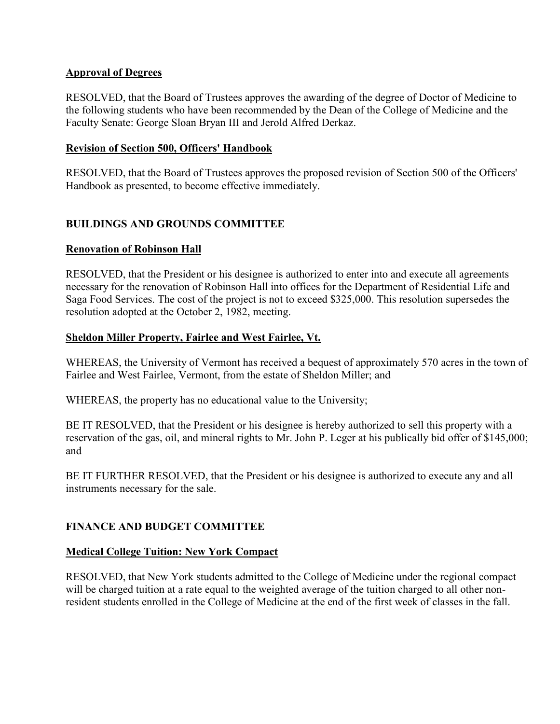## <span id="page-3-0"></span>**Approval of Degrees**

RESOLVED, that the Board of Trustees approves the awarding of the degree of Doctor of Medicine to the following students who have been recommended by the Dean of the College of Medicine and the Faculty Senate: George Sloan Bryan III and Jerold Alfred Derkaz.

#### **Revision of Section 500, Officers' Handbook**

RESOLVED, that the Board of Trustees approves the proposed revision of Section 500 of the Officers' Handbook as presented, to become effective immediately.

# **BUILDINGS AND GROUNDS COMMITTEE**

#### **Renovation of Robinson Hall**

RESOLVED, that the President or his designee is authorized to enter into and execute all agreements necessary for the renovation of Robinson Hall into offices for the Department of Residential Life and Saga Food Services. The cost of the project is not to exceed \$325,000. This resolution supersedes the resolution adopted at the October 2, 1982, meeting.

#### **Sheldon Miller Property, Fairlee and West Fairlee, Vt.**

WHEREAS, the University of Vermont has received a bequest of approximately 570 acres in the town of Fairlee and West Fairlee, Vermont, from the estate of Sheldon Miller; and

WHEREAS, the property has no educational value to the University;

BE IT RESOLVED, that the President or his designee is hereby authorized to sell this property with a reservation of the gas, oil, and mineral rights to Mr. John P. Leger at his publically bid offer of \$145,000; and

BE IT FURTHER RESOLVED, that the President or his designee is authorized to execute any and all instruments necessary for the sale.

# **FINANCE AND BUDGET COMMITTEE**

#### **Medical College Tuition: New York Compact**

RESOLVED, that New York students admitted to the College of Medicine under the regional compact will be charged tuition at a rate equal to the weighted average of the tuition charged to all other nonresident students enrolled in the College of Medicine at the end of the first week of classes in the fall.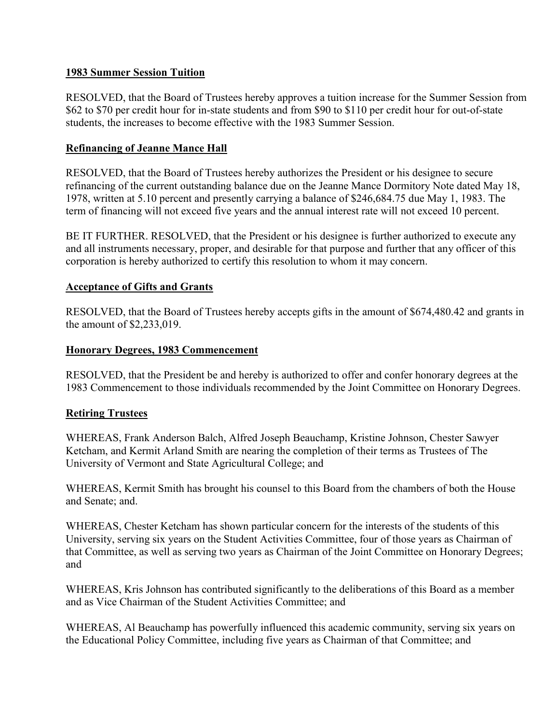### <span id="page-4-0"></span>**1983 Summer Session Tuition**

RESOLVED, that the Board of Trustees hereby approves a tuition increase for the Summer Session from \$62 to \$70 per credit hour for in-state students and from \$90 to \$110 per credit hour for out-of-state students, the increases to become effective with the 1983 Summer Session.

### **Refinancing of Jeanne Mance Hall**

RESOLVED, that the Board of Trustees hereby authorizes the President or his designee to secure refinancing of the current outstanding balance due on the Jeanne Mance Dormitory Note dated May 18, 1978, written at 5.10 percent and presently carrying a balance of \$246,684.75 due May 1, 1983. The term of financing will not exceed five years and the annual interest rate will not exceed 10 percent.

BE IT FURTHER. RESOLVED, that the President or his designee is further authorized to execute any and all instruments necessary, proper, and desirable for that purpose and further that any officer of this corporation is hereby authorized to certify this resolution to whom it may concern.

#### **Acceptance of Gifts and Grants**

RESOLVED, that the Board of Trustees hereby accepts gifts in the amount of \$674,480.42 and grants in the amount of \$2,233,019.

#### **Honorary Degrees, 1983 Commencement**

RESOLVED, that the President be and hereby is authorized to offer and confer honorary degrees at the 1983 Commencement to those individuals recommended by the Joint Committee on Honorary Degrees.

#### **Retiring Trustees**

WHEREAS, Frank Anderson Balch, Alfred Joseph Beauchamp, Kristine Johnson, Chester Sawyer Ketcham, and Kermit Arland Smith are nearing the completion of their terms as Trustees of The University of Vermont and State Agricultural College; and

WHEREAS, Kermit Smith has brought his counsel to this Board from the chambers of both the House and Senate; and.

WHEREAS, Chester Ketcham has shown particular concern for the interests of the students of this University, serving six years on the Student Activities Committee, four of those years as Chairman of that Committee, as well as serving two years as Chairman of the Joint Committee on Honorary Degrees; and

WHEREAS, Kris Johnson has contributed significantly to the deliberations of this Board as a member and as Vice Chairman of the Student Activities Committee; and

WHEREAS, Al Beauchamp has powerfully influenced this academic community, serving six years on the Educational Policy Committee, including five years as Chairman of that Committee; and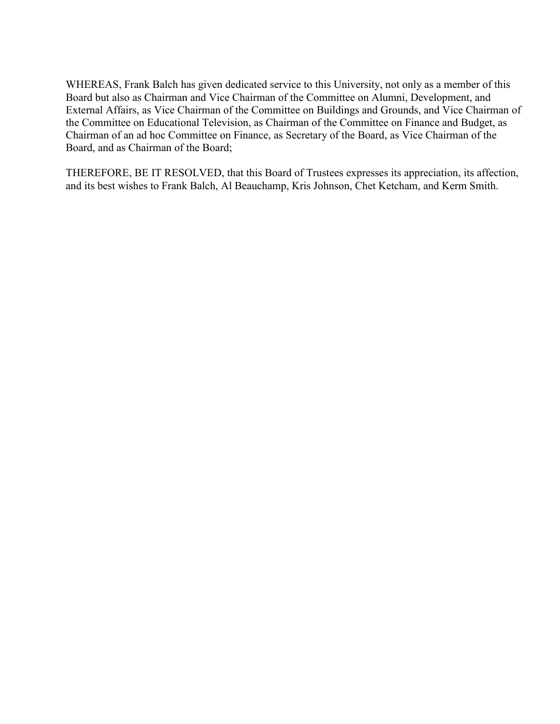WHEREAS, Frank Balch has given dedicated service to this University, not only as a member of this Board but also as Chairman and Vice Chairman of the Committee on Alumni, Development, and External Affairs, as Vice Chairman of the Committee on Buildings and Grounds, and Vice Chairman of the Committee on Educational Television, as Chairman of the Committee on Finance and Budget, as Chairman of an ad hoc Committee on Finance, as Secretary of the Board, as Vice Chairman of the Board, and as Chairman of the Board;

THEREFORE, BE IT RESOLVED, that this Board of Trustees expresses its appreciation, its affection, and its best wishes to Frank Balch, Al Beauchamp, Kris Johnson, Chet Ketcham, and Kerm Smith.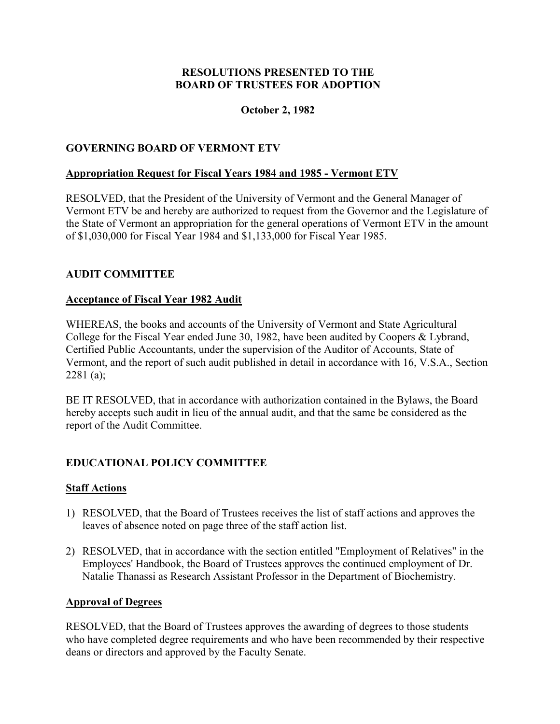# **October 2, 1982**

# <span id="page-6-0"></span>**GOVERNING BOARD OF VERMONT ETV**

# **Appropriation Request for Fiscal Years 1984 and 1985 - Vermont ETV**

RESOLVED, that the President of the University of Vermont and the General Manager of Vermont ETV be and hereby are authorized to request from the Governor and the Legislature of the State of Vermont an appropriation for the general operations of Vermont ETV in the amount of \$1,030,000 for Fiscal Year 1984 and \$1,133,000 for Fiscal Year 1985.

# **AUDIT COMMITTEE**

#### **Acceptance of Fiscal Year 1982 Audit**

WHEREAS, the books and accounts of the University of Vermont and State Agricultural College for the Fiscal Year ended June 30, 1982, have been audited by Coopers & Lybrand, Certified Public Accountants, under the supervision of the Auditor of Accounts, State of Vermont, and the report of such audit published in detail in accordance with 16, V.S.A., Section 2281 (a);

BE IT RESOLVED, that in accordance with authorization contained in the Bylaws, the Board hereby accepts such audit in lieu of the annual audit, and that the same be considered as the report of the Audit Committee.

# **EDUCATIONAL POLICY COMMITTEE**

# **Staff Actions**

- 1) RESOLVED, that the Board of Trustees receives the list of staff actions and approves the leaves of absence noted on page three of the staff action list.
- 2) RESOLVED, that in accordance with the section entitled "Employment of Relatives" in the Employees' Handbook, the Board of Trustees approves the continued employment of Dr. Natalie Thanassi as Research Assistant Professor in the Department of Biochemistry.

#### **Approval of Degrees**

RESOLVED, that the Board of Trustees approves the awarding of degrees to those students who have completed degree requirements and who have been recommended by their respective deans or directors and approved by the Faculty Senate.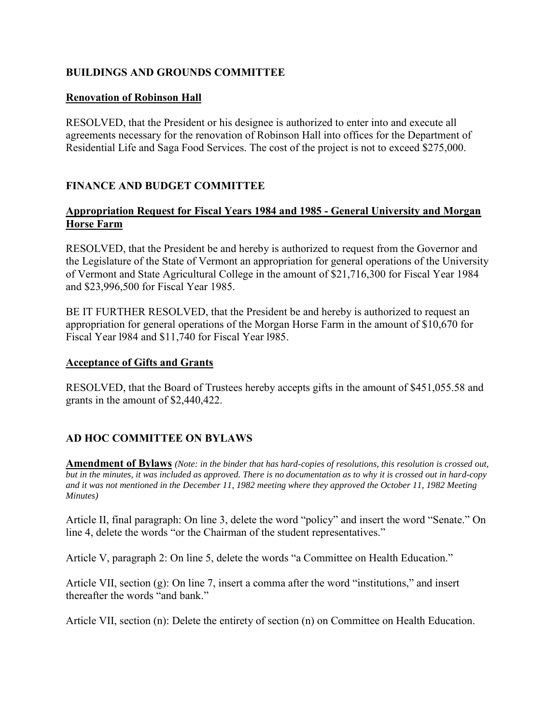# <span id="page-7-0"></span>**BUILDINGS AND GROUNDS COMMITTEE**

### **Renovation of Robinson Hall**

RESOLVED, that the President or his designee is authorized to enter into and execute all agreements necessary for the renovation of Robinson Hall into offices for the Department of Residential Life and Saga Food Services. The cost of the project is not to exceed \$275,000.

# **FINANCE AND BUDGET COMMITTEE**

# **Appropriation Request for Fiscal Years 1984 and 1985 - General University and Morgan Horse Farm**

RESOLVED, that the President be and hereby is authorized to request from the Governor and the Legislature of the State of Vermont an appropriation for general operations of the University of Vermont and State Agricultural College in the amount of \$21,716,300 for Fiscal Year 1984 and \$23,996,500 for Fiscal Year 1985.

BE IT FURTHER RESOLVED, that the President be and hereby is authorized to request an appropriation for general operations of the Morgan Horse Farm in the amount of \$10,670 for Fiscal Year l984 and \$11,740 for Fiscal Year l985.

#### **Acceptance of Gifts and Grants**

RESOLVED, that the Board of Trustees hereby accepts gifts in the amount of \$451,055.58 and grants in the amount of \$2,440,422.

# **AD HOC COMMITTEE ON BYLAWS**

**Amendment of Bylaws** *(Note: in the binder that has hard-copies of resolutions, this resolution is crossed out, but in the minutes, it was included as approved. There is no documentation as to why it is crossed out in hard-copy and it was not mentioned in the December 11, 1982 meeting where they approved the October 11, 1982 Meeting Minutes)* 

Article II, final paragraph: On line 3, delete the word "policy" and insert the word "Senate." On line 4, delete the words "or the Chairman of the student representatives."

Article V, paragraph 2: On line 5, delete the words "a Committee on Health Education."

Article VII, section (g): On line 7, insert a comma after the word "institutions," and insert thereafter the words "and bank."

Article VII, section (n): Delete the entirety of section (n) on Committee on Health Education.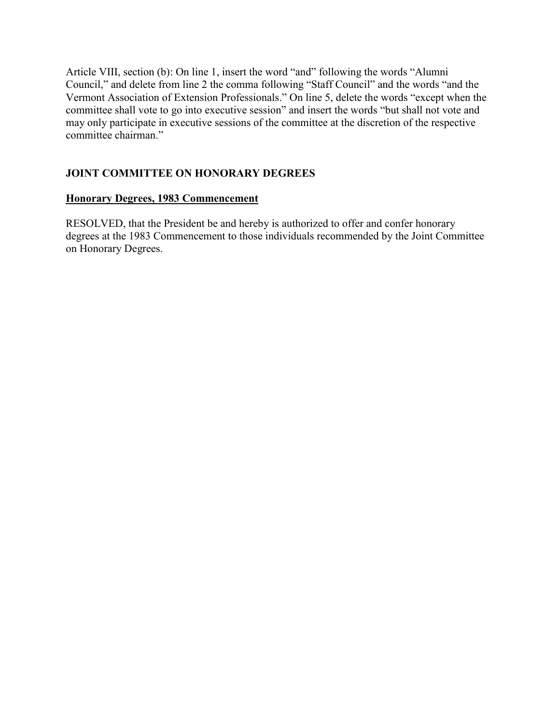<span id="page-8-0"></span>Article VIII, section (b): On line 1, insert the word "and" following the words "Alumni Council," and delete from line 2 the comma following "Staff Council" and the words "and the Vermont Association of Extension Professionals." On line 5, delete the words "except when the committee shall vote to go into executive session" and insert the words "but shall not vote and may only participate in executive sessions of the committee at the discretion of the respective committee chairman."

# **JOINT COMMITTEE ON HONORARY DEGREES**

# **Honorary Degrees, 1983 Commencement**

RESOLVED, that the President be and hereby is authorized to offer and confer honorary degrees at the 1983 Commencement to those individuals recommended by the Joint Committee on Honorary Degrees.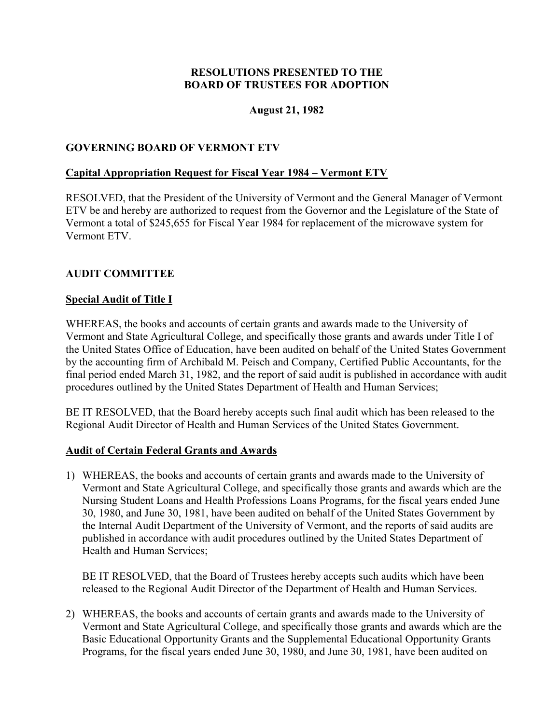### **August 21, 1982**

### <span id="page-9-0"></span>**GOVERNING BOARD OF VERMONT ETV**

#### **Capital Appropriation Request for Fiscal Year 1984 – Vermont ETV**

RESOLVED, that the President of the University of Vermont and the General Manager of Vermont ETV be and hereby are authorized to request from the Governor and the Legislature of the State of Vermont a total of \$245,655 for Fiscal Year 1984 for replacement of the microwave system for Vermont ETV.

#### **AUDIT COMMITTEE**

#### **Special Audit of Title I**

WHEREAS, the books and accounts of certain grants and awards made to the University of Vermont and State Agricultural College, and specifically those grants and awards under Title I of the United States Office of Education, have been audited on behalf of the United States Government by the accounting firm of Archibald M. Peisch and Company, Certified Public Accountants, for the final period ended March 31, 1982, and the report of said audit is published in accordance with audit procedures outlined by the United States Department of Health and Human Services;

BE IT RESOLVED, that the Board hereby accepts such final audit which has been released to the Regional Audit Director of Health and Human Services of the United States Government.

#### **Audit of Certain Federal Grants and Awards**

1) WHEREAS, the books and accounts of certain grants and awards made to the University of Vermont and State Agricultural College, and specifically those grants and awards which are the Nursing Student Loans and Health Professions Loans Programs, for the fiscal years ended June 30, 1980, and June 30, 1981, have been audited on behalf of the United States Government by the Internal Audit Department of the University of Vermont, and the reports of said audits are published in accordance with audit procedures outlined by the United States Department of Health and Human Services;

BE IT RESOLVED, that the Board of Trustees hereby accepts such audits which have been released to the Regional Audit Director of the Department of Health and Human Services.

2) WHEREAS, the books and accounts of certain grants and awards made to the University of Vermont and State Agricultural College, and specifically those grants and awards which are the Basic Educational Opportunity Grants and the Supplemental Educational Opportunity Grants Programs, for the fiscal years ended June 30, 1980, and June 30, 1981, have been audited on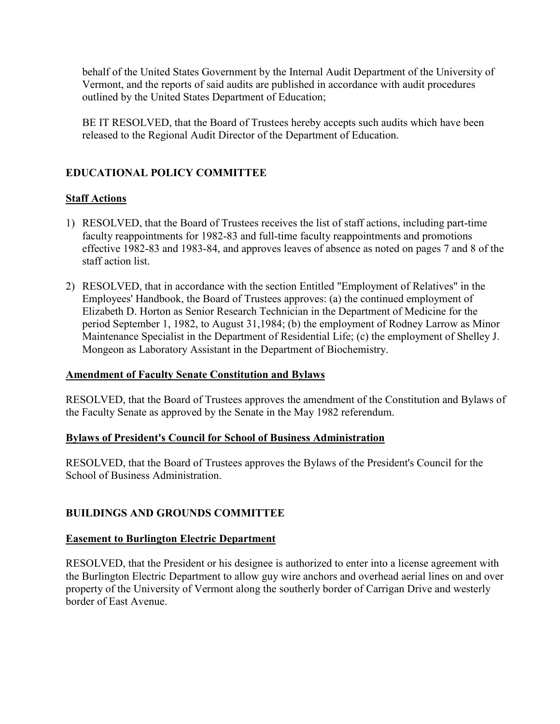<span id="page-10-0"></span>behalf of the United States Government by the Internal Audit Department of the University of Vermont, and the reports of said audits are published in accordance with audit procedures outlined by the United States Department of Education;

BE IT RESOLVED, that the Board of Trustees hereby accepts such audits which have been released to the Regional Audit Director of the Department of Education.

# **EDUCATIONAL POLICY COMMITTEE**

# **Staff Actions**

- 1) RESOLVED, that the Board of Trustees receives the list of staff actions, including part-time faculty reappointments for 1982-83 and full-time faculty reappointments and promotions effective 1982-83 and 1983-84, and approves leaves of absence as noted on pages 7 and 8 of the staff action list.
- 2) RESOLVED, that in accordance with the section Entitled "Employment of Relatives" in the Employees' Handbook, the Board of Trustees approves: (a) the continued employment of Elizabeth D. Horton as Senior Research Technician in the Department of Medicine for the period September 1, 1982, to August 31,1984; (b) the employment of Rodney Larrow as Minor Maintenance Specialist in the Department of Residential Life; (c) the employment of Shelley J. Mongeon as Laboratory Assistant in the Department of Biochemistry.

#### **Amendment of Faculty Senate Constitution and Bylaws**

RESOLVED, that the Board of Trustees approves the amendment of the Constitution and Bylaws of the Faculty Senate as approved by the Senate in the May 1982 referendum.

#### **Bylaws of President's Council for School of Business Administration**

RESOLVED, that the Board of Trustees approves the Bylaws of the President's Council for the School of Business Administration.

# **BUILDINGS AND GROUNDS COMMITTEE**

#### **Easement to Burlington Electric Department**

RESOLVED, that the President or his designee is authorized to enter into a license agreement with the Burlington Electric Department to allow guy wire anchors and overhead aerial lines on and over property of the University of Vermont along the southerly border of Carrigan Drive and westerly border of East Avenue.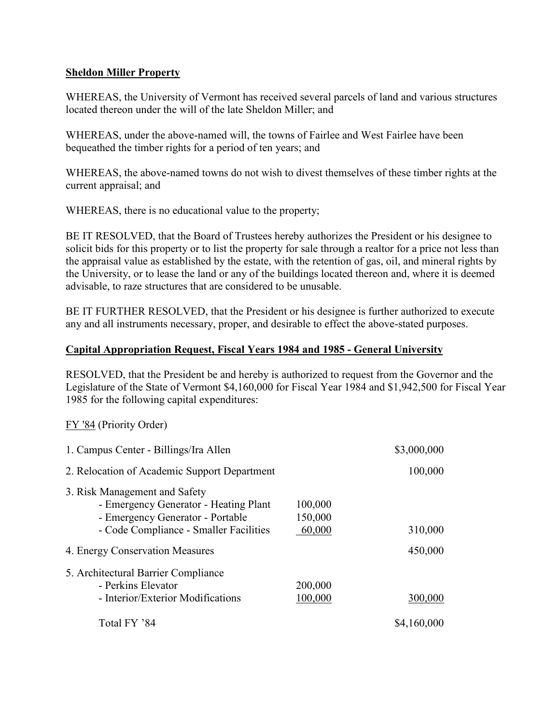### <span id="page-11-0"></span>**Sheldon Miller Property**

WHEREAS, the University of Vermont has received several parcels of land and various structures located thereon under the will of the late Sheldon Miller; and

WHEREAS, under the above-named will, the towns of Fairlee and West Fairlee have been bequeathed the timber rights for a period of ten years; and

WHEREAS, the above-named towns do not wish to divest themselves of these timber rights at the current appraisal; and

WHEREAS, there is no educational value to the property;

BE IT RESOLVED, that the Board of Trustees hereby authorizes the President or his designee to solicit bids for this property or to list the property for sale through a realtor for a price not less than the appraisal value as established by the estate, with the retention of gas, oil, and mineral rights by the University, or to lease the land or any of the buildings located thereon and, where it is deemed advisable, to raze structures that are considered to be unusable.

BE IT FURTHER RESOLVED, that the President or his designee is further authorized to execute any and all instruments necessary, proper, and desirable to effect the above-stated purposes.

#### **Capital Appropriation Request, Fiscal Years 1984 and 1985 - General University**

RESOLVED, that the President be and hereby is authorized to request from the Governor and the Legislature of the State of Vermont \$4,160,000 for Fiscal Year 1984 and \$1,942,500 for Fiscal Year 1985 for the following capital expenditures:

FY '84 (Priority Order)

| 1. Campus Center - Billings/Ira Allen                                                                                                                |                              | \$3,000,000 |
|------------------------------------------------------------------------------------------------------------------------------------------------------|------------------------------|-------------|
| 2. Relocation of Academic Support Department                                                                                                         |                              | 100,000     |
| 3. Risk Management and Safety<br>- Emergency Generator - Heating Plant<br>- Emergency Generator - Portable<br>- Code Compliance - Smaller Facilities | 100,000<br>150,000<br>60,000 | 310,000     |
| 4. Energy Conservation Measures                                                                                                                      |                              | 450,000     |
| 5. Architectural Barrier Compliance<br>- Perkins Elevator<br>- Interior/Exterior Modifications                                                       | 200,000<br>100,000           | 300,000     |
| Total FY '84                                                                                                                                         |                              | \$4,160,000 |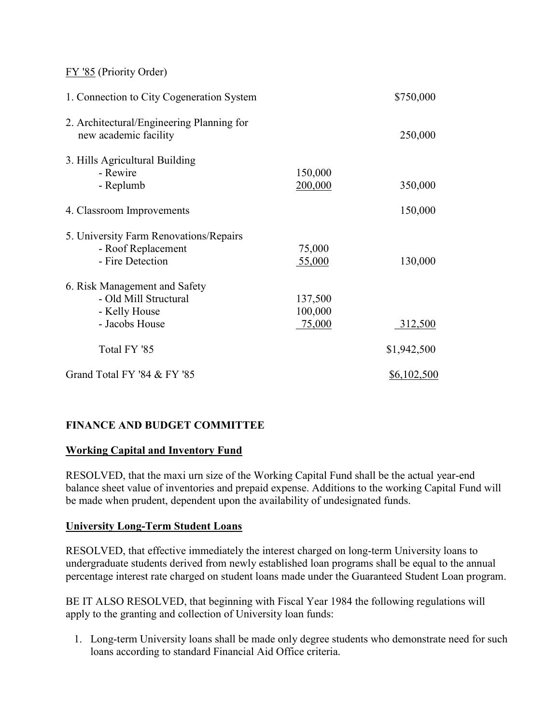<span id="page-12-0"></span>FY '85 (Priority Order)

| 1. Connection to City Cogeneration System                                                 |                              | \$750,000   |
|-------------------------------------------------------------------------------------------|------------------------------|-------------|
| 2. Architectural/Engineering Planning for<br>new academic facility                        |                              | 250,000     |
| 3. Hills Agricultural Building<br>- Rewire<br>- Replumb                                   | 150,000<br>200,000           | 350,000     |
| 4. Classroom Improvements                                                                 |                              | 150,000     |
| 5. University Farm Renovations/Repairs<br>- Roof Replacement<br>- Fire Detection          | 75,000<br>55,000             | 130,000     |
| 6. Risk Management and Safety<br>- Old Mill Structural<br>- Kelly House<br>- Jacobs House | 137,500<br>100,000<br>75,000 | 312,500     |
| Total FY '85                                                                              |                              | \$1,942,500 |
| Grand Total FY '84 & FY '85                                                               |                              | \$6,102,500 |

# **FINANCE AND BUDGET COMMITTEE**

# **Working Capital and Inventory Fund**

RESOLVED, that the maxi urn size of the Working Capital Fund shall be the actual year-end balance sheet value of inventories and prepaid expense. Additions to the working Capital Fund will be made when prudent, dependent upon the availability of undesignated funds.

# **University Long-Term Student Loans**

RESOLVED, that effective immediately the interest charged on long-term University loans to undergraduate students derived from newly established loan programs shall be equal to the annual percentage interest rate charged on student loans made under the Guaranteed Student Loan program.

BE IT ALSO RESOLVED, that beginning with Fiscal Year 1984 the following regulations will apply to the granting and collection of University loan funds:

1. Long-term University loans shall be made only degree students who demonstrate need for such loans according to standard Financial Aid Office criteria.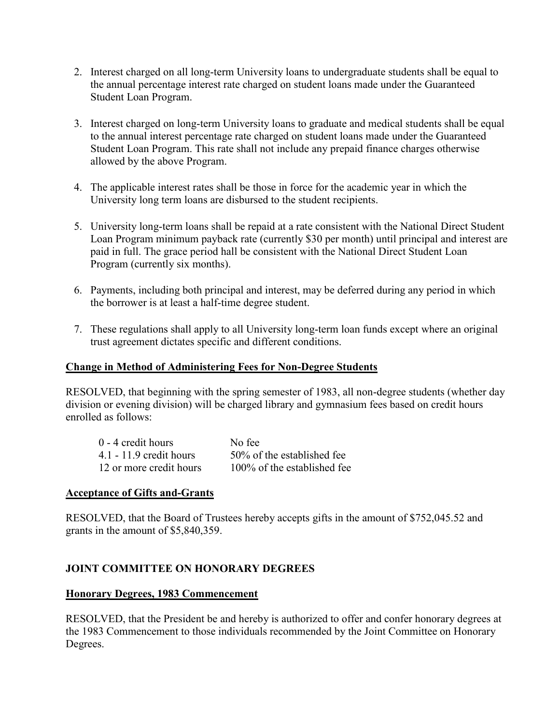- <span id="page-13-0"></span>2. Interest charged on all long-term University loans to undergraduate students shall be equal to the annual percentage interest rate charged on student loans made under the Guaranteed Student Loan Program.
- 3. Interest charged on long-term University loans to graduate and medical students shall be equal to the annual interest percentage rate charged on student loans made under the Guaranteed Student Loan Program. This rate shall not include any prepaid finance charges otherwise allowed by the above Program.
- 4. The applicable interest rates shall be those in force for the academic year in which the University long term loans are disbursed to the student recipients.
- 5. University long-term loans shall be repaid at a rate consistent with the National Direct Student Loan Program minimum payback rate (currently \$30 per month) until principal and interest are paid in full. The grace period hall be consistent with the National Direct Student Loan Program (currently six months).
- 6. Payments, including both principal and interest, may be deferred during any period in which the borrower is at least a half-time degree student.
- 7. These regulations shall apply to all University long-term loan funds except where an original trust agreement dictates specific and different conditions.

### **Change in Method of Administering Fees for Non-Degree Students**

RESOLVED, that beginning with the spring semester of 1983, all non-degree students (whether day division or evening division) will be charged library and gymnasium fees based on credit hours enrolled as follows:

| 0 - 4 credit hours        | No fee                      |
|---------------------------|-----------------------------|
| $4.1 - 11.9$ credit hours | 50% of the established fee  |
| 12 or more credit hours   | 100% of the established fee |

# **Acceptance of Gifts and-Grants**

RESOLVED, that the Board of Trustees hereby accepts gifts in the amount of \$752,045.52 and grants in the amount of \$5,840,359.

# **JOINT COMMITTEE ON HONORARY DEGREES**

#### **Honorary Degrees, 1983 Commencement**

RESOLVED, that the President be and hereby is authorized to offer and confer honorary degrees at the 1983 Commencement to those individuals recommended by the Joint Committee on Honorary Degrees.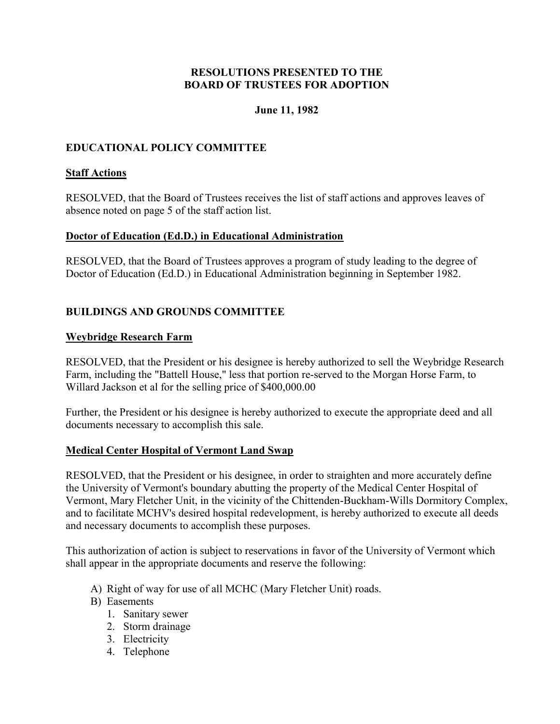#### **June 11, 1982**

# <span id="page-14-0"></span>**EDUCATIONAL POLICY COMMITTEE**

### **Staff Actions**

RESOLVED, that the Board of Trustees receives the list of staff actions and approves leaves of absence noted on page 5 of the staff action list.

#### **Doctor of Education (Ed.D.) in Educational Administration**

RESOLVED, that the Board of Trustees approves a program of study leading to the degree of Doctor of Education (Ed.D.) in Educational Administration beginning in September 1982.

# **BUILDINGS AND GROUNDS COMMITTEE**

#### **Weybridge Research Farm**

RESOLVED, that the President or his designee is hereby authorized to sell the Weybridge Research Farm, including the "Battell House," less that portion re-served to the Morgan Horse Farm, to Willard Jackson et al for the selling price of \$400,000.00

Further, the President or his designee is hereby authorized to execute the appropriate deed and all documents necessary to accomplish this sale.

#### **Medical Center Hospital of Vermont Land Swap**

RESOLVED, that the President or his designee, in order to straighten and more accurately define the University of Vermont's boundary abutting the property of the Medical Center Hospital of Vermont, Mary Fletcher Unit, in the vicinity of the Chittenden-Buckham-Wills Dormitory Complex, and to facilitate MCHV's desired hospital redevelopment, is hereby authorized to execute all deeds and necessary documents to accomplish these purposes.

This authorization of action is subject to reservations in favor of the University of Vermont which shall appear in the appropriate documents and reserve the following:

- A) Right of way for use of all MCHC (Mary Fletcher Unit) roads.
- B) Easements
	- 1. Sanitary sewer
	- 2. Storm drainage
	- 3. Electricity
	- 4. Telephone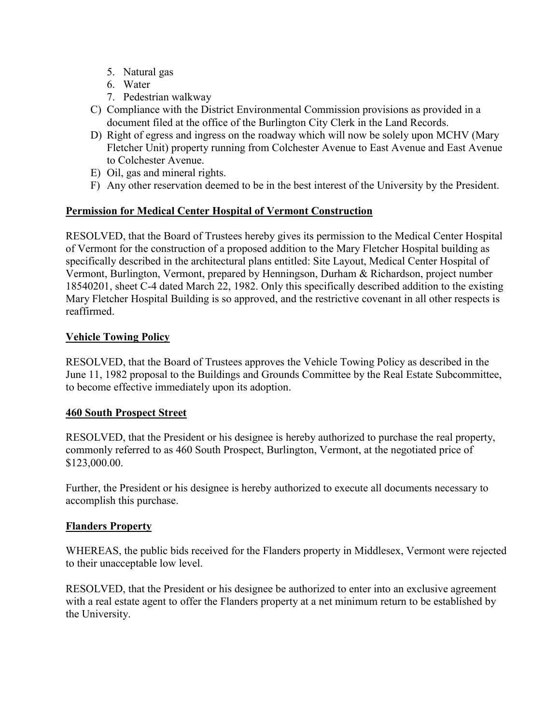- <span id="page-15-0"></span>5. Natural gas
- 6. Water
- 7. Pedestrian walkway
- C) Compliance with the District Environmental Commission provisions as provided in a document filed at the office of the Burlington City Clerk in the Land Records.
- D) Right of egress and ingress on the roadway which will now be solely upon MCHV (Mary Fletcher Unit) property running from Colchester Avenue to East Avenue and East Avenue to Colchester Avenue.
- E) Oil, gas and mineral rights.
- F) Any other reservation deemed to be in the best interest of the University by the President.

# **Permission for Medical Center Hospital of Vermont Construction**

RESOLVED, that the Board of Trustees hereby gives its permission to the Medical Center Hospital of Vermont for the construction of a proposed addition to the Mary Fletcher Hospital building as specifically described in the architectural plans entitled: Site Layout, Medical Center Hospital of Vermont, Burlington, Vermont, prepared by Henningson, Durham & Richardson, project number 18540201, sheet C-4 dated March 22, 1982. Only this specifically described addition to the existing Mary Fletcher Hospital Building is so approved, and the restrictive covenant in all other respects is reaffirmed.

# **Vehicle Towing Policy**

RESOLVED, that the Board of Trustees approves the Vehicle Towing Policy as described in the June 11, 1982 proposal to the Buildings and Grounds Committee by the Real Estate Subcommittee, to become effective immediately upon its adoption.

# **460 South Prospect Street**

RESOLVED, that the President or his designee is hereby authorized to purchase the real property, commonly referred to as 460 South Prospect, Burlington, Vermont, at the negotiated price of \$123,000.00.

Further, the President or his designee is hereby authorized to execute all documents necessary to accomplish this purchase.

#### **Flanders Property**

WHEREAS, the public bids received for the Flanders property in Middlesex, Vermont were rejected to their unacceptable low level.

RESOLVED, that the President or his designee be authorized to enter into an exclusive agreement with a real estate agent to offer the Flanders property at a net minimum return to be established by the University.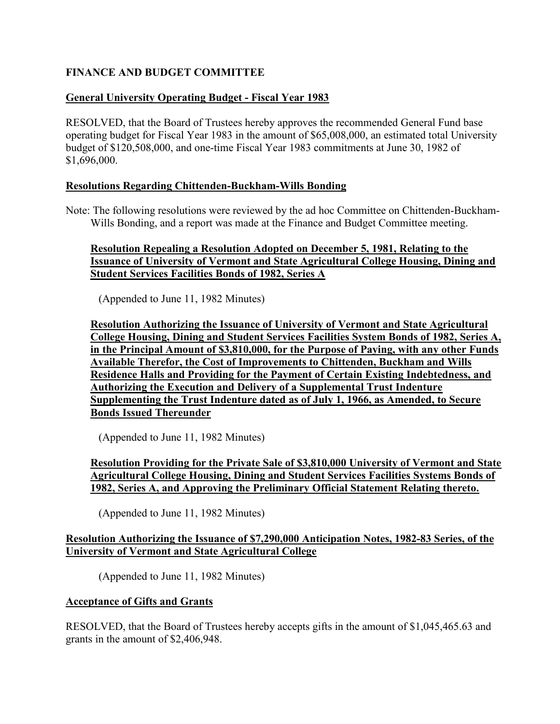# <span id="page-16-0"></span>**FINANCE AND BUDGET COMMITTEE**

# **General University Operating Budget - Fiscal Year 1983**

RESOLVED, that the Board of Trustees hereby approves the recommended General Fund base operating budget for Fiscal Year 1983 in the amount of \$65,008,000, an estimated total University budget of \$120,508,000, and one-time Fiscal Year 1983 commitments at June 30, 1982 of \$1,696,000.

### **Resolutions Regarding Chittenden-Buckham-Wills Bonding**

Note: The following resolutions were reviewed by the ad hoc Committee on Chittenden-Buckham-Wills Bonding, and a report was made at the Finance and Budget Committee meeting.

## **Resolution Repealing a Resolution Adopted on December 5, 1981, Relating to the Issuance of University of Vermont and State Agricultural College Housing, Dining and Student Services Facilities Bonds of 1982, Series A**

(Appended to June 11, 1982 Minutes)

**Resolution Authorizing the Issuance of University of Vermont and State Agricultural College Housing, Dining and Student Services Facilities System Bonds of 1982, Series A, in the Principal Amount of \$3,810,000, for the Purpose of Paying, with any other Funds Available Therefor, the Cost of Improvements to Chittenden, Buckham and Wills Residence Halls and Providing for the Payment of Certain Existing Indebtedness, and Authorizing the Execution and Delivery of a Supplemental Trust Indenture Supplementing the Trust Indenture dated as of July 1, 1966, as Amended, to Secure Bonds Issued Thereunder** 

(Appended to June 11, 1982 Minutes)

# **Resolution Providing for the Private Sale of \$3,810,000 University of Vermont and State Agricultural College Housing, Dining and Student Services Facilities Systems Bonds of 1982, Series A, and Approving the Preliminary Official Statement Relating thereto.**

(Appended to June 11, 1982 Minutes)

# **Resolution Authorizing the Issuance of \$7,290,000 Anticipation Notes, 1982-83 Series, of the University of Vermont and State Agricultural College**

(Appended to June 11, 1982 Minutes)

# **Acceptance of Gifts and Grants**

RESOLVED, that the Board of Trustees hereby accepts gifts in the amount of \$1,045,465.63 and grants in the amount of \$2,406,948.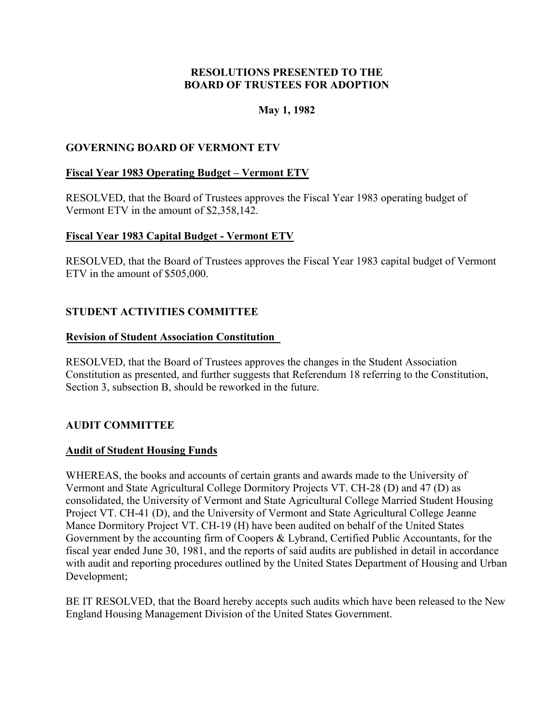### **May 1, 1982**

# <span id="page-17-0"></span>**GOVERNING BOARD OF VERMONT ETV**

#### **Fiscal Year 1983 Operating Budget – Vermont ETV**

RESOLVED, that the Board of Trustees approves the Fiscal Year 1983 operating budget of Vermont ETV in the amount of \$2,358,142.

#### **Fiscal Year 1983 Capital Budget - Vermont ETV**

RESOLVED, that the Board of Trustees approves the Fiscal Year 1983 capital budget of Vermont ETV in the amount of \$505,000.

# **STUDENT ACTIVITIES COMMITTEE**

#### **Revision of Student Association Constitution**

RESOLVED, that the Board of Trustees approves the changes in the Student Association Constitution as presented, and further suggests that Referendum 18 referring to the Constitution, Section 3, subsection B, should be reworked in the future.

# **AUDIT COMMITTEE**

# **Audit of Student Housing Funds**

WHEREAS, the books and accounts of certain grants and awards made to the University of Vermont and State Agricultural College Dormitory Projects VT. CH-28 (D) and 47 (D) as consolidated, the University of Vermont and State Agricultural College Married Student Housing Project VT. CH-41 (D), and the University of Vermont and State Agricultural College Jeanne Mance Dormitory Project VT. CH-19 (H) have been audited on behalf of the United States Government by the accounting firm of Coopers & Lybrand, Certified Public Accountants, for the fiscal year ended June 30, 1981, and the reports of said audits are published in detail in accordance with audit and reporting procedures outlined by the United States Department of Housing and Urban Development;

BE IT RESOLVED, that the Board hereby accepts such audits which have been released to the New England Housing Management Division of the United States Government.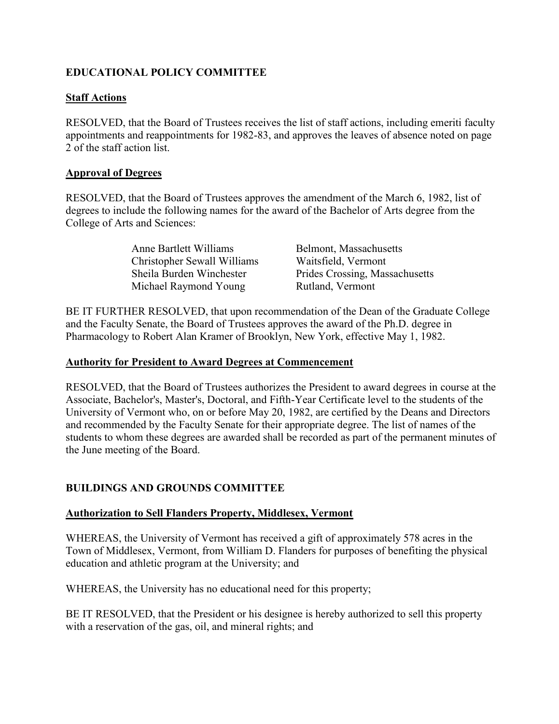# <span id="page-18-0"></span>**EDUCATIONAL POLICY COMMITTEE**

# **Staff Actions**

RESOLVED, that the Board of Trustees receives the list of staff actions, including emeriti faculty appointments and reappointments for 1982-83, and approves the leaves of absence noted on page 2 of the staff action list.

# **Approval of Degrees**

RESOLVED, that the Board of Trustees approves the amendment of the March 6, 1982, list of degrees to include the following names for the award of the Bachelor of Arts degree from the College of Arts and Sciences:

| Anne Bartlett Williams      | Belmont, Massachusetts         |
|-----------------------------|--------------------------------|
| Christopher Sewall Williams | Waitsfield, Vermont            |
| Sheila Burden Winchester    | Prides Crossing, Massachusetts |
| Michael Raymond Young       | Rutland, Vermont               |

BE IT FURTHER RESOLVED, that upon recommendation of the Dean of the Graduate College and the Faculty Senate, the Board of Trustees approves the award of the Ph.D. degree in Pharmacology to Robert Alan Kramer of Brooklyn, New York, effective May 1, 1982.

### **Authority for President to Award Degrees at Commencement**

RESOLVED, that the Board of Trustees authorizes the President to award degrees in course at the Associate, Bachelor's, Master's, Doctoral, and Fifth-Year Certificate level to the students of the University of Vermont who, on or before May 20, 1982, are certified by the Deans and Directors and recommended by the Faculty Senate for their appropriate degree. The list of names of the students to whom these degrees are awarded shall be recorded as part of the permanent minutes of the June meeting of the Board.

# **BUILDINGS AND GROUNDS COMMITTEE**

# **Authorization to Sell Flanders Property, Middlesex, Vermont**

WHEREAS, the University of Vermont has received a gift of approximately 578 acres in the Town of Middlesex, Vermont, from William D. Flanders for purposes of benefiting the physical education and athletic program at the University; and

WHEREAS, the University has no educational need for this property;

BE IT RESOLVED, that the President or his designee is hereby authorized to sell this property with a reservation of the gas, oil, and mineral rights; and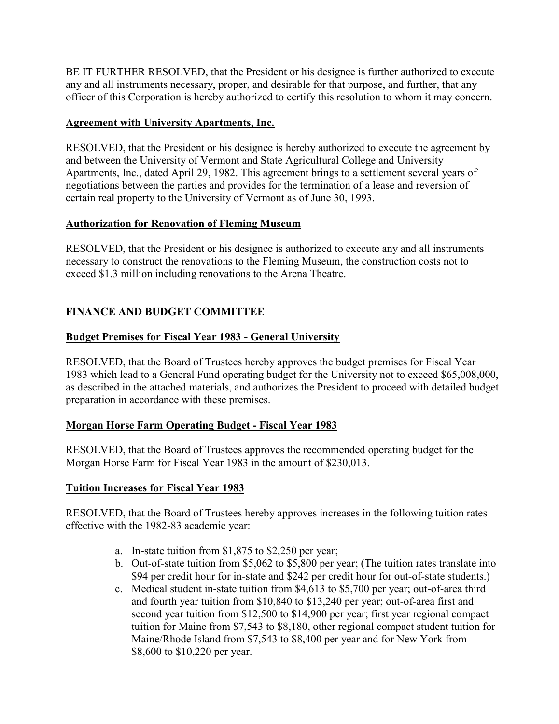<span id="page-19-0"></span>BE IT FURTHER RESOLVED, that the President or his designee is further authorized to execute any and all instruments necessary, proper, and desirable for that purpose, and further, that any officer of this Corporation is hereby authorized to certify this resolution to whom it may concern.

# **Agreement with University Apartments, Inc.**

RESOLVED, that the President or his designee is hereby authorized to execute the agreement by and between the University of Vermont and State Agricultural College and University Apartments, Inc., dated April 29, 1982. This agreement brings to a settlement several years of negotiations between the parties and provides for the termination of a lease and reversion of certain real property to the University of Vermont as of June 30, 1993.

# **Authorization for Renovation of Fleming Museum**

RESOLVED, that the President or his designee is authorized to execute any and all instruments necessary to construct the renovations to the Fleming Museum, the construction costs not to exceed \$1.3 million including renovations to the Arena Theatre.

# **FINANCE AND BUDGET COMMITTEE**

# **Budget Premises for Fiscal Year 1983 - General University**

RESOLVED, that the Board of Trustees hereby approves the budget premises for Fiscal Year 1983 which lead to a General Fund operating budget for the University not to exceed \$65,008,000, as described in the attached materials, and authorizes the President to proceed with detailed budget preparation in accordance with these premises.

# **Morgan Horse Farm Operating Budget - Fiscal Year 1983**

RESOLVED, that the Board of Trustees approves the recommended operating budget for the Morgan Horse Farm for Fiscal Year 1983 in the amount of \$230,013.

# **Tuition Increases for Fiscal Year 1983**

RESOLVED, that the Board of Trustees hereby approves increases in the following tuition rates effective with the 1982-83 academic year:

- a. In-state tuition from \$1,875 to \$2,250 per year;
- b. Out-of-state tuition from \$5,062 to \$5,800 per year; (The tuition rates translate into \$94 per credit hour for in-state and \$242 per credit hour for out-of-state students.)
- c. Medical student in-state tuition from \$4,613 to \$5,700 per year; out-of-area third and fourth year tuition from \$10,840 to \$13,240 per year; out-of-area first and second year tuition from \$12,500 to \$14,900 per year; first year regional compact tuition for Maine from \$7,543 to \$8,180, other regional compact student tuition for Maine/Rhode Island from \$7,543 to \$8,400 per year and for New York from \$8,600 to \$10,220 per year.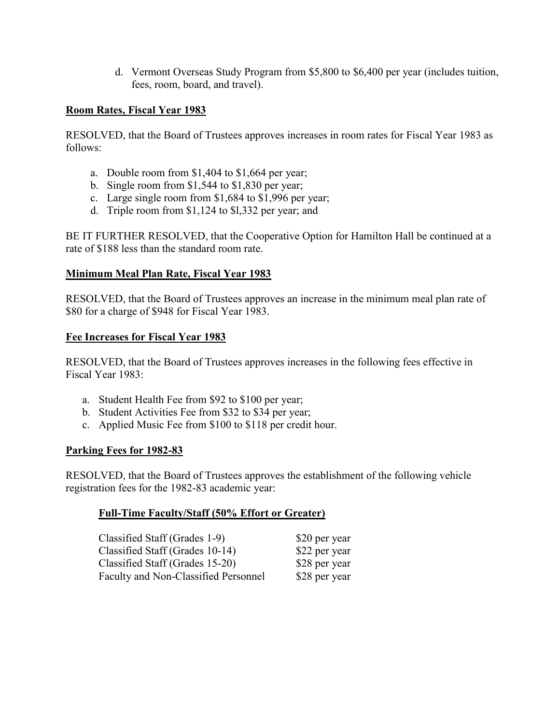d. Vermont Overseas Study Program from \$5,800 to \$6,400 per year (includes tuition, fees, room, board, and travel).

#### <span id="page-20-0"></span>**Room Rates, Fiscal Year 1983**

RESOLVED, that the Board of Trustees approves increases in room rates for Fiscal Year 1983 as follows:

- a. Double room from \$1,404 to \$1,664 per year;
- b. Single room from \$1,544 to \$1,830 per year;
- c. Large single room from \$1,684 to \$1,996 per year;
- d. Triple room from \$1,124 to \$l,332 per year; and

BE IT FURTHER RESOLVED, that the Cooperative Option for Hamilton Hall be continued at a rate of \$188 less than the standard room rate.

#### **Minimum Meal Plan Rate, Fiscal Year 1983**

RESOLVED, that the Board of Trustees approves an increase in the minimum meal plan rate of \$80 for a charge of \$948 for Fiscal Year 1983.

#### **Fee Increases for Fiscal Year 1983**

RESOLVED, that the Board of Trustees approves increases in the following fees effective in Fiscal Year 1983:

- a. Student Health Fee from \$92 to \$100 per year;
- b. Student Activities Fee from \$32 to \$34 per year;
- c. Applied Music Fee from \$100 to \$118 per credit hour.

#### **Parking Fees for 1982-83**

RESOLVED, that the Board of Trustees approves the establishment of the following vehicle registration fees for the 1982-83 academic year:

#### **Full-Time Faculty/Staff (50% Effort or Greater)**

| Classified Staff (Grades 1-9)        | \$20 per year |
|--------------------------------------|---------------|
| Classified Staff (Grades 10-14)      | \$22 per year |
| Classified Staff (Grades 15-20)      | \$28 per year |
| Faculty and Non-Classified Personnel | \$28 per year |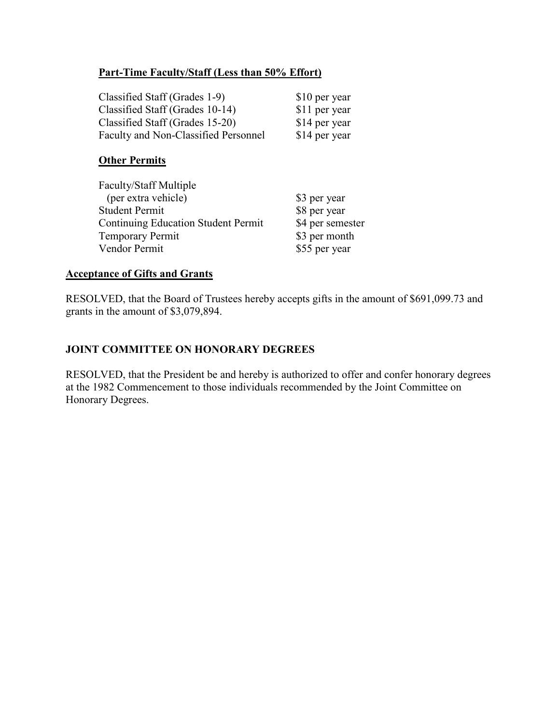## <span id="page-21-0"></span>**Part-Time Faculty/Staff (Less than 50% Effort)**

| Classified Staff (Grades 1-9)        | \$10 per year |
|--------------------------------------|---------------|
| Classified Staff (Grades 10-14)      | \$11 per year |
| Classified Staff (Grades 15-20)      | \$14 per year |
| Faculty and Non-Classified Personnel | \$14 per year |

#### **Other Permits**

| <b>Faculty/Staff Multiple</b>              |                  |
|--------------------------------------------|------------------|
| (per extra vehicle)                        | \$3 per year     |
| <b>Student Permit</b>                      | \$8 per year     |
| <b>Continuing Education Student Permit</b> | \$4 per semester |
| <b>Temporary Permit</b>                    | \$3 per month    |
| Vendor Permit                              | \$55 per year    |

#### **Acceptance of Gifts and Grants**

RESOLVED, that the Board of Trustees hereby accepts gifts in the amount of \$691,099.73 and grants in the amount of \$3,079,894.

# **JOINT COMMITTEE ON HONORARY DEGREES**

RESOLVED, that the President be and hereby is authorized to offer and confer honorary degrees at the 1982 Commencement to those individuals recommended by the Joint Committee on Honorary Degrees.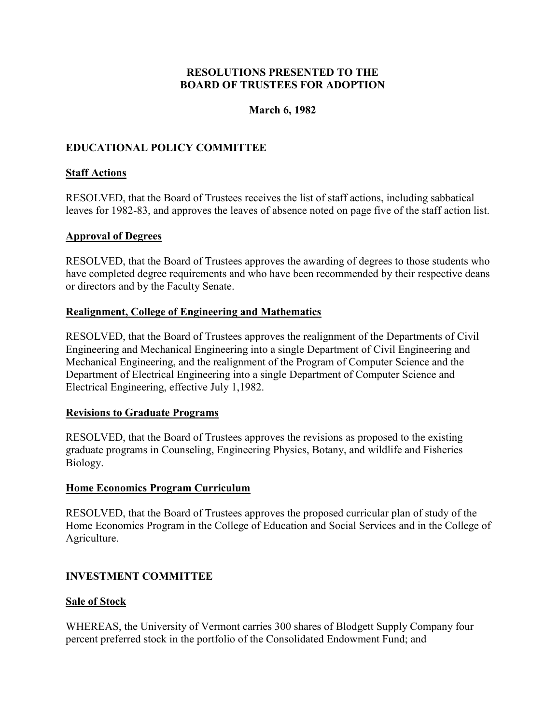### **March 6, 1982**

# <span id="page-22-0"></span>**EDUCATIONAL POLICY COMMITTEE**

### **Staff Actions**

RESOLVED, that the Board of Trustees receives the list of staff actions, including sabbatical leaves for 1982-83, and approves the leaves of absence noted on page five of the staff action list.

#### **Approval of Degrees**

RESOLVED, that the Board of Trustees approves the awarding of degrees to those students who have completed degree requirements and who have been recommended by their respective deans or directors and by the Faculty Senate.

#### **Realignment, College of Engineering and Mathematics**

RESOLVED, that the Board of Trustees approves the realignment of the Departments of Civil Engineering and Mechanical Engineering into a single Department of Civil Engineering and Mechanical Engineering, and the realignment of the Program of Computer Science and the Department of Electrical Engineering into a single Department of Computer Science and Electrical Engineering, effective July 1,1982.

#### **Revisions to Graduate Programs**

RESOLVED, that the Board of Trustees approves the revisions as proposed to the existing graduate programs in Counseling, Engineering Physics, Botany, and wildlife and Fisheries Biology.

#### **Home Economics Program Curriculum**

RESOLVED, that the Board of Trustees approves the proposed curricular plan of study of the Home Economics Program in the College of Education and Social Services and in the College of Agriculture.

#### **INVESTMENT COMMITTEE**

#### **Sale of Stock**

WHEREAS, the University of Vermont carries 300 shares of Blodgett Supply Company four percent preferred stock in the portfolio of the Consolidated Endowment Fund; and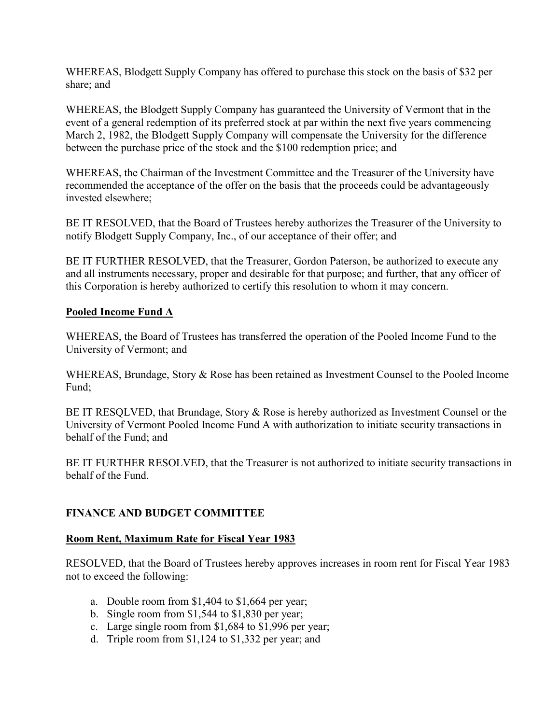<span id="page-23-0"></span>WHEREAS, Blodgett Supply Company has offered to purchase this stock on the basis of \$32 per share; and

WHEREAS, the Blodgett Supply Company has guaranteed the University of Vermont that in the event of a general redemption of its preferred stock at par within the next five years commencing March 2, 1982, the Blodgett Supply Company will compensate the University for the difference between the purchase price of the stock and the \$100 redemption price; and

WHEREAS, the Chairman of the Investment Committee and the Treasurer of the University have recommended the acceptance of the offer on the basis that the proceeds could be advantageously invested elsewhere;

BE IT RESOLVED, that the Board of Trustees hereby authorizes the Treasurer of the University to notify Blodgett Supply Company, Inc., of our acceptance of their offer; and

BE IT FURTHER RESOLVED, that the Treasurer, Gordon Paterson, be authorized to execute any and all instruments necessary, proper and desirable for that purpose; and further, that any officer of this Corporation is hereby authorized to certify this resolution to whom it may concern.

# **Pooled Income Fund A**

WHEREAS, the Board of Trustees has transferred the operation of the Pooled Income Fund to the University of Vermont; and

WHEREAS, Brundage, Story & Rose has been retained as Investment Counsel to the Pooled Income Fund;

BE IT RESQLVED, that Brundage, Story & Rose is hereby authorized as Investment Counsel or the University of Vermont Pooled Income Fund A with authorization to initiate security transactions in behalf of the Fund; and

BE IT FURTHER RESOLVED, that the Treasurer is not authorized to initiate security transactions in behalf of the Fund.

# **FINANCE AND BUDGET COMMITTEE**

#### **Room Rent, Maximum Rate for Fiscal Year 1983**

RESOLVED, that the Board of Trustees hereby approves increases in room rent for Fiscal Year 1983 not to exceed the following:

- a. Double room from \$1,404 to \$1,664 per year;
- b. Single room from \$1,544 to \$1,830 per year;
- c. Large single room from \$1,684 to \$1,996 per year;
- d. Triple room from \$1,124 to \$1,332 per year; and